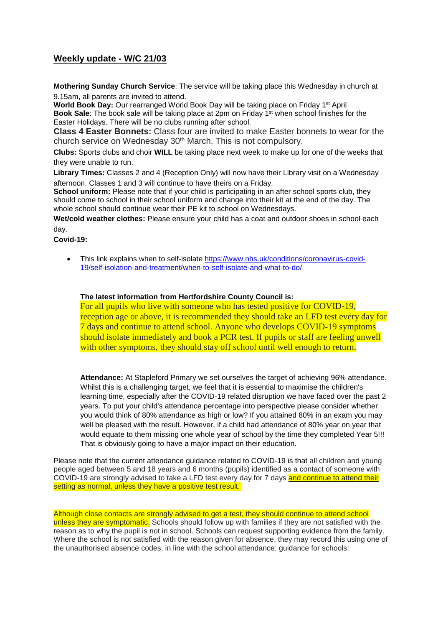## **Weekly update - W/C 21/03**

**Mothering Sunday Church Service**: The service will be taking place this Wednesday in church at 9.15am, all parents are invited to attend.

World Book Day: Our rearranged World Book Day will be taking place on Friday 1<sup>st</sup> April **Book Sale**: The book sale will be taking place at 2pm on Friday 1 st when school finishes for the Easter Holidays. There will be no clubs running after school.

**Class 4 Easter Bonnets:** Class four are invited to make Easter bonnets to wear for the church service on Wednesday 30<sup>th</sup> March. This is not compulsory.

**Clubs:** Sports clubs and choir **WILL** be taking place next week to make up for one of the weeks that they were unable to run.

**Library Times:** Classes 2 and 4 (Reception Only) will now have their Library visit on a Wednesday afternoon. Classes 1 and 3 will continue to have theirs on a Friday.

**School uniform:** Please note that if your child is participating in an after school sports club, they should come to school in their school uniform and change into their kit at the end of the day. The whole school should continue wear their PE kit to school on Wednesdays.

**Wet/cold weather clothes:** Please ensure your child has a coat and outdoor shoes in school each day.

**Covid-19:** 

 This link explains when to self-isolate [https://www.nhs.uk/conditions/coronavirus-covid-](https://www.nhs.uk/conditions/coronavirus-covid-19/self-isolation-and-treatment/when-to-self-isolate-and-what-to-do/)[19/self-isolation-and-treatment/when-to-self-isolate-and-what-to-do/](https://www.nhs.uk/conditions/coronavirus-covid-19/self-isolation-and-treatment/when-to-self-isolate-and-what-to-do/)

## **The latest information from Hertfordshire County Council is:**

For all pupils who live with someone who has tested positive for COVID-19, reception age or above, it is recommended they should take an LFD test every day for 7 days and continue to attend school. Anyone who develops COVID-19 symptoms should isolate immediately and book a PCR test. If pupils or staff are feeling unwell with other symptoms, they should stay off school until well enough to return.

**Attendance:** At Stapleford Primary we set ourselves the target of achieving 96% attendance. Whilst this is a challenging target, we feel that it is essential to maximise the children's learning time, especially after the COVID-19 related disruption we have faced over the past 2 years. To put your child's attendance percentage into perspective please consider whether you would think of 80% attendance as high or low? If you attained 80% in an exam you may well be pleased with the result. However, if a child had attendance of 80% year on year that would equate to them missing one whole year of school by the time they completed Year 5!!! That is obviously going to have a major impact on their education.

Please note that the current attendance guidance related to COVID-19 is that all children and young people aged between 5 and 18 years and 6 months (pupils) identified as a contact of someone with COVID-19 are strongly advised to take a LFD test every day for 7 days and continue to attend their setting as normal, unless they have a positive test result.

Although close contacts are strongly advised to get a test, they should continue to attend school unless they are symptomatic. Schools should follow up with families if they are not satisfied with the reason as to why the pupil is not in school. Schools can request supporting evidence from the family. Where the school is not satisfied with the reason given for absence, they may record this using one of the unauthorised absence codes, in line with the school attendance: guidance for schools: